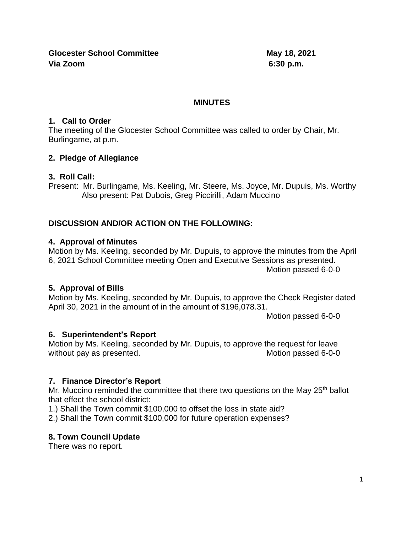**Glocester School Committee May 18, 2021 Via Zoom 6:30 p.m.**

#### **MINUTES**

#### **1. Call to Order**

The meeting of the Glocester School Committee was called to order by Chair, Mr. Burlingame, at p.m.

## **2. Pledge of Allegiance**

#### **3. Roll Call:**

Present: Mr. Burlingame, Ms. Keeling, Mr. Steere, Ms. Joyce, Mr. Dupuis, Ms. Worthy Also present: Pat Dubois, Greg Piccirilli, Adam Muccino

## **DISCUSSION AND/OR ACTION ON THE FOLLOWING:**

#### **4. Approval of Minutes**

Motion by Ms. Keeling, seconded by Mr. Dupuis, to approve the minutes from the April 6, 2021 School Committee meeting Open and Executive Sessions as presented. Motion passed 6-0-0

## **5. Approval of Bills**

Motion by Ms. Keeling, seconded by Mr. Dupuis, to approve the Check Register dated April 30, 2021 in the amount of in the amount of \$196,078.31.

Motion passed 6-0-0

## **6. Superintendent's Report**

Motion by Ms. Keeling, seconded by Mr. Dupuis, to approve the request for leave without pay as presented. Motion passed 6-0-0

## **7. Finance Director's Report**

Mr. Muccino reminded the committee that there two questions on the May 25<sup>th</sup> ballot that effect the school district:

1.) Shall the Town commit \$100,000 to offset the loss in state aid?

2.) Shall the Town commit \$100,000 for future operation expenses?

## **8. Town Council Update**

There was no report.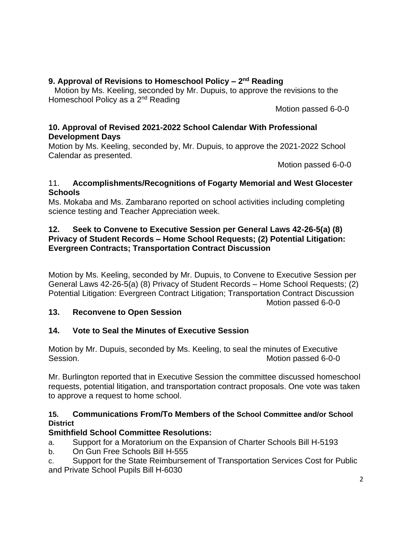## **9. Approval of Revisions to Homeschool Policy – 2 nd Reading**

Motion by Ms. Keeling, seconded by Mr. Dupuis, to approve the revisions to the Homeschool Policy as a 2<sup>nd</sup> Reading

Motion passed 6-0-0

## **10. Approval of Revised 2021-2022 School Calendar With Professional Development Days**

Motion by Ms. Keeling, seconded by, Mr. Dupuis, to approve the 2021-2022 School Calendar as presented.

Motion passed 6-0-0

#### 11. **Accomplishments/Recognitions of Fogarty Memorial and West Glocester Schools**

Ms. Mokaba and Ms. Zambarano reported on school activities including completing science testing and Teacher Appreciation week.

#### **12. Seek to Convene to Executive Session per General Laws 42-26-5(a) (8) Privacy of Student Records – Home School Requests; (2) Potential Litigation: Evergreen Contracts; Transportation Contract Discussion**

Motion by Ms. Keeling, seconded by Mr. Dupuis, to Convene to Executive Session per General Laws 42-26-5(a) (8) Privacy of Student Records – Home School Requests; (2) Potential Litigation: Evergreen Contract Litigation; Transportation Contract Discussion Motion passed 6-0-0

## **13. Reconvene to Open Session**

# **14. Vote to Seal the Minutes of Executive Session**

Motion by Mr. Dupuis, seconded by Ms. Keeling, to seal the minutes of Executive Session. Motion passed 6-0-0

Mr. Burlington reported that in Executive Session the committee discussed homeschool requests, potential litigation, and transportation contract proposals. One vote was taken to approve a request to home school.

## **15. Communications From/To Members of the School Committee and/or School District**

# **Smithfield School Committee Resolutions:**

- a. Support for a Moratorium on the Expansion of Charter Schools Bill H-5193
- b. On Gun Free Schools Bill H-555

c. Support for the State Reimbursement of Transportation Services Cost for Public and Private School Pupils Bill H-6030